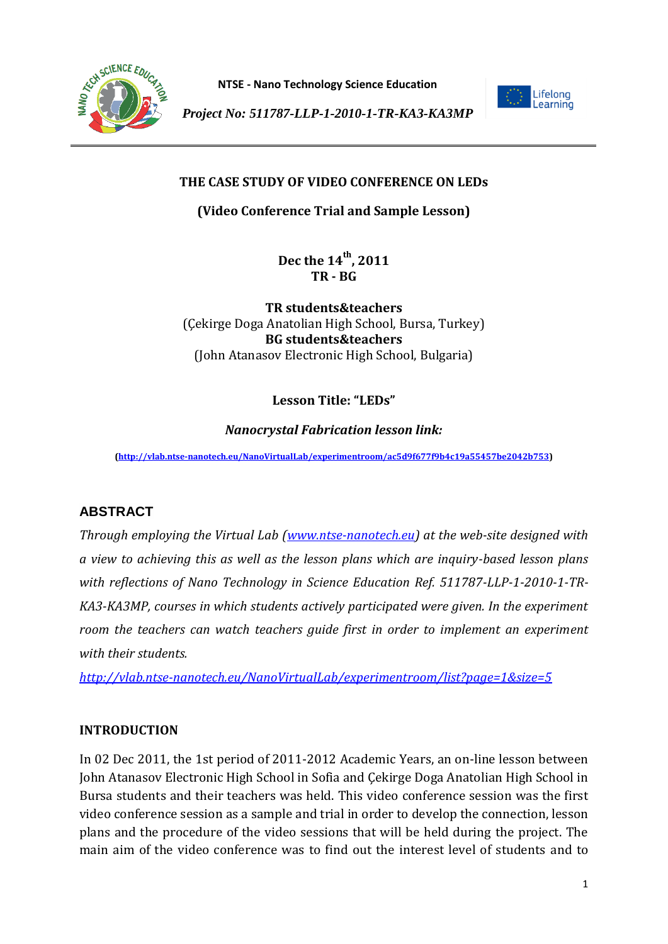



*Project No: 511787-LLP-1-2010-1-TR-KA3-KA3MP*

## **THE CASE STUDY OF VIDEO CONFERENCE ON LEDs**

**(Video Conference Trial and Sample Lesson)**

**Dec the 14th, 2011 TR - BG** 

**TR students&teachers** (Çekirge Doga Anatolian High School, Bursa, Turkey) **BG students&teachers** (John Atanasov Electronic High School, Bulgaria)

# **Lesson Title: "LEDs"**

#### *Nanocrystal Fabrication lesson link:*

**[\(http://vlab.ntse-nanotech.eu/NanoVirtualLab/experimentroom/ac5d9f677f9b4c19a55457be2042b753\)](http://vlab.ntse-nanotech.eu/NanoVirtualLab/experimentroom/ac5d9f677f9b4c19a55457be2042b753)**

# **ABSTRACT**

*Through employing the Virtual Lab [\(www.ntse-nanotech.eu\)](http://www.ntse-nanotech.eu/) at the web-site designed with a view to achieving this as well as the lesson plans which are inquiry-based lesson plans with reflections of Nano Technology in Science Education Ref. 511787-LLP-1-2010-1-TR-KA3-KA3MP, courses in which students actively participated were given. In the experiment room the teachers can watch teachers guide first in order to implement an experiment with their students.* 

*<http://vlab.ntse-nanotech.eu/NanoVirtualLab/experimentroom/list?page=1&size=5>*

#### **INTRODUCTION**

In 02 Dec 2011, the 1st period of 2011-2012 Academic Years, an on-line lesson between John Atanasov Electronic High School in Sofia and Çekirge Doga Anatolian High School in Bursa students and their teachers was held. This video conference session was the first video conference session as a sample and trial in order to develop the connection, lesson plans and the procedure of the video sessions that will be held during the project. The main aim of the video conference was to find out the interest level of students and to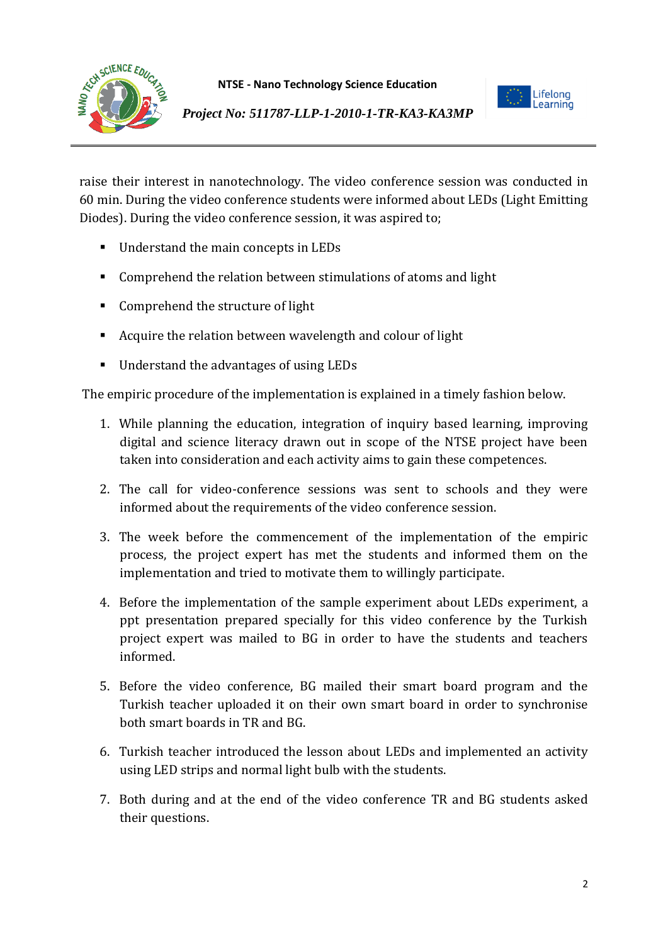



*Project No: 511787-LLP-1-2010-1-TR-KA3-KA3MP*

raise their interest in nanotechnology. The video conference session was conducted in 60 min. During the video conference students were informed about LEDs (Light Emitting Diodes). During the video conference session, it was aspired to;

- Understand the main concepts in LEDs
- **Comprehend the relation between stimulations of atoms and light**
- **Comprehend the structure of light**
- Acquire the relation between wavelength and colour of light
- Understand the advantages of using LEDs

The empiric procedure of the implementation is explained in a timely fashion below.

- 1. While planning the education, integration of inquiry based learning, improving digital and science literacy drawn out in scope of the NTSE project have been taken into consideration and each activity aims to gain these competences.
- 2. The call for video-conference sessions was sent to schools and they were informed about the requirements of the video conference session.
- 3. The week before the commencement of the implementation of the empiric process, the project expert has met the students and informed them on the implementation and tried to motivate them to willingly participate.
- 4. Before the implementation of the sample experiment about LEDs experiment, a ppt presentation prepared specially for this video conference by the Turkish project expert was mailed to BG in order to have the students and teachers informed.
- 5. Before the video conference, BG mailed their smart board program and the Turkish teacher uploaded it on their own smart board in order to synchronise both smart boards in TR and BG.
- 6. Turkish teacher introduced the lesson about LEDs and implemented an activity using LED strips and normal light bulb with the students.
- 7. Both during and at the end of the video conference TR and BG students asked their questions.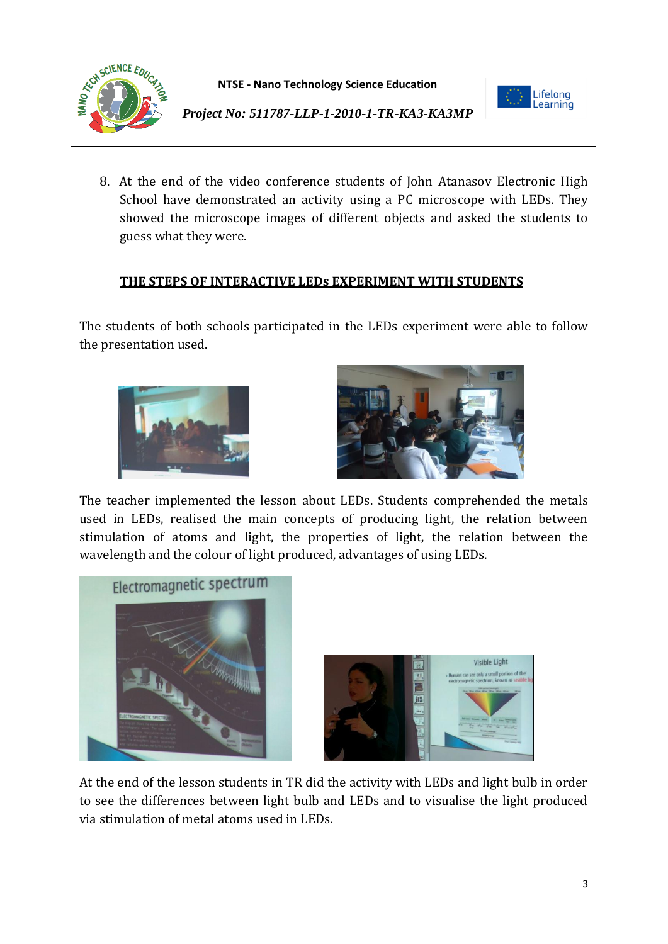



*Project No: 511787-LLP-1-2010-1-TR-KA3-KA3MP*

8. At the end of the video conference students of John Atanasov Electronic High School have demonstrated an activity using a PC microscope with LEDs. They showed the microscope images of different objects and asked the students to guess what they were.

## **THE STEPS OF INTERACTIVE LEDs EXPERIMENT WITH STUDENTS**

The students of both schools participated in the LEDs experiment were able to follow the presentation used.





The teacher implemented the lesson about LEDs. Students comprehended the metals used in LEDs, realised the main concepts of producing light, the relation between stimulation of atoms and light, the properties of light, the relation between the wavelength and the colour of light produced, advantages of using LEDs.





At the end of the lesson students in TR did the activity with LEDs and light bulb in order to see the differences between light bulb and LEDs and to visualise the light produced via stimulation of metal atoms used in LEDs.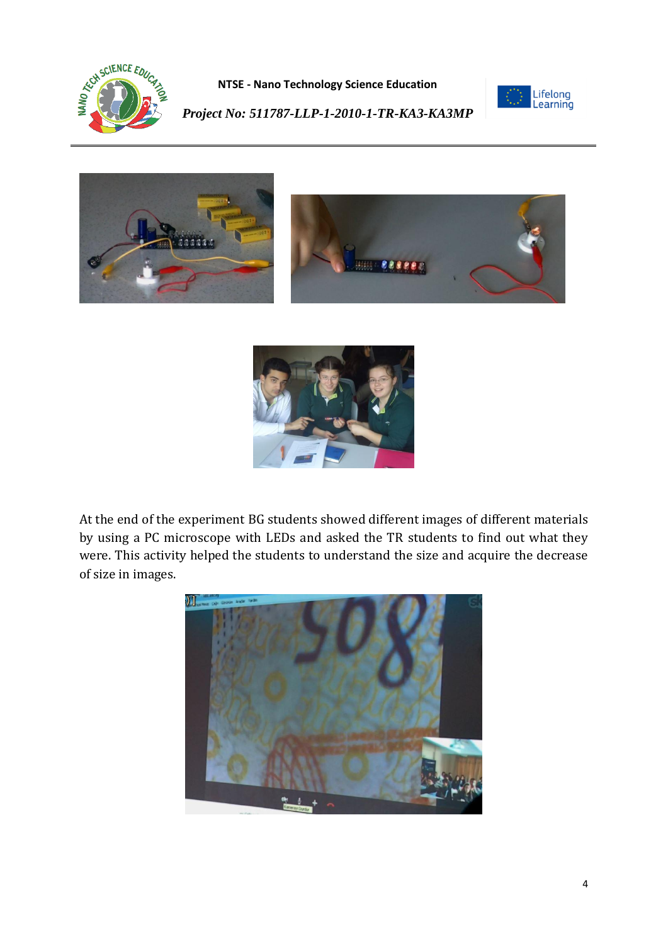



*Project No: 511787-LLP-1-2010-1-TR-KA3-KA3MP*





At the end of the experiment BG students showed different images of different materials by using a PC microscope with LEDs and asked the TR students to find out what they were. This activity helped the students to understand the size and acquire the decrease of size in images.